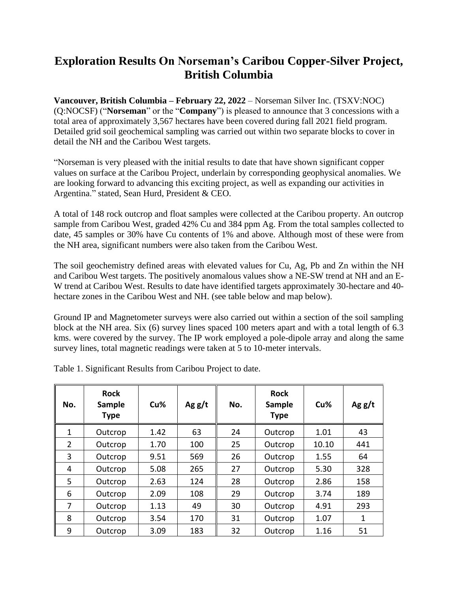## **Exploration Results On Norseman's Caribou Copper-Silver Project, British Columbia**

**Vancouver, British Columbia – February 22, 2022** – Norseman Silver Inc. (TSXV:NOC) (Q:NOCSF) ("**Norseman**" or the "**Company**") is pleased to announce that 3 concessions with a total area of approximately 3,567 hectares have been covered during fall 2021 field program. Detailed grid soil geochemical sampling was carried out within two separate blocks to cover in detail the NH and the Caribou West targets.

"Norseman is very pleased with the initial results to date that have shown significant copper values on surface at the Caribou Project, underlain by corresponding geophysical anomalies. We are looking forward to advancing this exciting project, as well as expanding our activities in Argentina." stated, Sean Hurd, President & CEO.

A total of 148 rock outcrop and float samples were collected at the Caribou property. An outcrop sample from Caribou West, graded 42% Cu and 384 ppm Ag. From the total samples collected to date, 45 samples or 30% have Cu contents of 1% and above. Although most of these were from the NH area, significant numbers were also taken from the Caribou West.

The soil geochemistry defined areas with elevated values for Cu, Ag, Pb and Zn within the NH and Caribou West targets. The positively anomalous values show a NE-SW trend at NH and an E-W trend at Caribou West. Results to date have identified targets approximately 30-hectare and 40 hectare zones in the Caribou West and NH. (see table below and map below).

Ground IP and Magnetometer surveys were also carried out within a section of the soil sampling block at the NH area. Six (6) survey lines spaced 100 meters apart and with a total length of 6.3 kms. were covered by the survey. The IP work employed a pole-dipole array and along the same survey lines, total magnetic readings were taken at 5 to 10-meter intervals.

| No.            | <b>Rock</b><br><b>Sample</b><br><b>Type</b> | Cu%  | Agg/t | No. | <b>Rock</b><br>Sample<br><b>Type</b> | Cu%   | Agg/t        |
|----------------|---------------------------------------------|------|-------|-----|--------------------------------------|-------|--------------|
| 1              | Outcrop                                     | 1.42 | 63    | 24  | Outcrop                              | 1.01  | 43           |
| $\overline{2}$ | Outcrop                                     | 1.70 | 100   | 25  | Outcrop                              | 10.10 | 441          |
| 3              | Outcrop                                     | 9.51 | 569   | 26  | Outcrop                              | 1.55  | 64           |
| 4              | Outcrop                                     | 5.08 | 265   | 27  | Outcrop                              | 5.30  | 328          |
| 5              | Outcrop                                     | 2.63 | 124   | 28  | Outcrop                              | 2.86  | 158          |
| 6              | Outcrop                                     | 2.09 | 108   | 29  | Outcrop                              | 3.74  | 189          |
| 7              | Outcrop                                     | 1.13 | 49    | 30  | Outcrop                              | 4.91  | 293          |
| 8              | Outcrop                                     | 3.54 | 170   | 31  | Outcrop                              | 1.07  | $\mathbf{1}$ |
| 9              | Outcrop                                     | 3.09 | 183   | 32  | Outcrop                              | 1.16  | 51           |

Table 1. Significant Results from Caribou Project to date.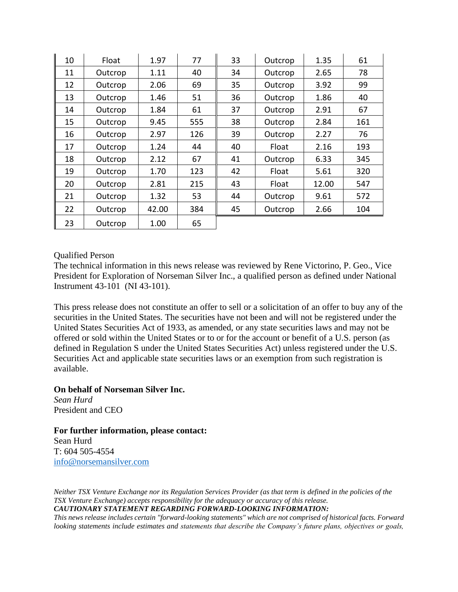| 10 | Float   | 1.97  | 77  | 33 | Outcrop | 1.35  | 61  |
|----|---------|-------|-----|----|---------|-------|-----|
| 11 | Outcrop | 1.11  | 40  | 34 | Outcrop | 2.65  | 78  |
| 12 | Outcrop | 2.06  | 69  | 35 | Outcrop | 3.92  | 99  |
| 13 | Outcrop | 1.46  | 51  | 36 | Outcrop | 1.86  | 40  |
| 14 | Outcrop | 1.84  | 61  | 37 | Outcrop | 2.91  | 67  |
| 15 | Outcrop | 9.45  | 555 | 38 | Outcrop | 2.84  | 161 |
| 16 | Outcrop | 2.97  | 126 | 39 | Outcrop | 2.27  | 76  |
| 17 | Outcrop | 1.24  | 44  | 40 | Float   | 2.16  | 193 |
| 18 | Outcrop | 2.12  | 67  | 41 | Outcrop | 6.33  | 345 |
| 19 | Outcrop | 1.70  | 123 | 42 | Float   | 5.61  | 320 |
| 20 | Outcrop | 2.81  | 215 | 43 | Float   | 12.00 | 547 |
| 21 | Outcrop | 1.32  | 53  | 44 | Outcrop | 9.61  | 572 |
| 22 | Outcrop | 42.00 | 384 | 45 | Outcrop | 2.66  | 104 |
| 23 | Outcrop | 1.00  | 65  |    |         |       |     |

## Qualified Person

The technical information in this news release was reviewed by Rene Victorino, P. Geo., Vice President for Exploration of Norseman Silver Inc., a qualified person as defined under National Instrument 43-101 (NI 43-101).

This press release does not constitute an offer to sell or a solicitation of an offer to buy any of the securities in the United States. The securities have not been and will not be registered under the United States Securities Act of 1933, as amended, or any state securities laws and may not be offered or sold within the United States or to or for the account or benefit of a U.S. person (as defined in Regulation S under the United States Securities Act) unless registered under the U.S. Securities Act and applicable state securities laws or an exemption from such registration is available.

## **On behalf of Norseman Silver Inc.**

*Sean Hurd* President and CEO

**For further information, please contact:** Sean Hurd T: 604 505-4554 [info@norsemansilver.com](mailto:info@norsemansilver.com)

*Neither TSX Venture Exchange nor its Regulation Services Provider (as that term is defined in the policies of the TSX Venture Exchange) accepts responsibility for the adequacy or accuracy of this release. CAUTIONARY STATEMENT REGARDING FORWARD-LOOKING INFORMATION:*

*This news release includes certain "forward-looking statements" which are not comprised of historical facts. Forward looking statements include estimates and statements that describe the Company's future plans, objectives or goals,*